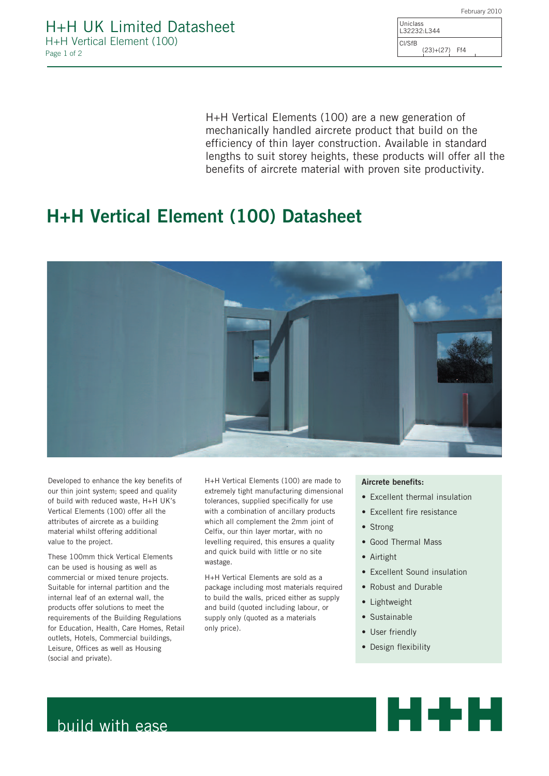| ass | 32:L344     |     |  |
|-----|-------------|-----|--|
| R   | $(23)+(27)$ | Ff4 |  |

Unic  $L322$ Cl/Sf

H+H Vertical Elements (100) are a new generation of mechanically handled aircrete product that build on the efficiency of thin layer construction. Available in standard lengths to suit storey heights, these products will offer all the benefits of aircrete material with proven site productivity.

# H+H Vertical Element (100) Datasheet



Developed to enhance the key benefits of our thin joint system: speed and quality of build with reduced waste, H+H UK's Vertical Elements (100) offer all the attributes of aircrete as a building material whilst offering additional value to the project.

These 100mm thick Vertical Elements can be used is housing as well as commercial or mixed tenure projects. Suitable for internal partition and the internal leaf of an external wall, the products offer solutions to meet the requirements of the Building Regulations for Education, Health, Care Homes, Retail outlets, Hotels, Commercial buildings, Leisure, Offices as well as Housing (social and private).

H+H Vertical Elements (100) are made to extremely tight manufacturing dimensional tolerances, supplied specifically for use with a combination of ancillary products which all complement the 2mm joint of Celfix, our thin layer mortar, with no levelling required, this ensures a quality and quick build with little or no site wastage.

H+H Vertical Elements are sold as a package including most materials required to build the walls, priced either as supply and build (quoted including labour, or supply only (quoted as a materials only price).

## Aircrete benefits:

- Excellent thermal insulation
- Excellent fire resistance
- Strong
- Good Thermal Mass
- Airtight
- Excellent Sound insulation
- Robust and Durable
- Lightweight
- Sustainable
- User friendly
- Design flexibility



## build with ease